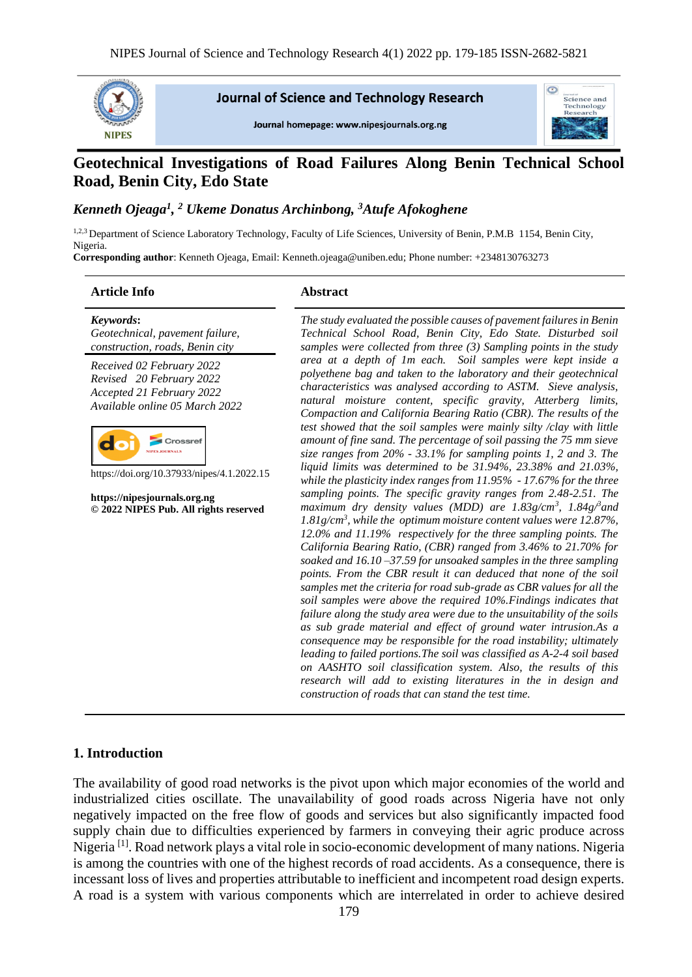

**Journal of Science and Technology Research** 

Journal homepage: www.nipesiournals.org.ng



# **Geotechnical Investigations of Road Failures Along Benin Technical School Road, Benin City, Edo State**

#### *Kenneth Ojeaga<sup>1</sup> , <sup>2</sup> Ukeme Donatus Archinbong, <sup>3</sup>Atufe Afokoghene*

1,2,3 Department of Science Laboratory Technology, Faculty of Life Sciences, University of Benin, P.M.B 1154, Benin City, Nigeria.

**Corresponding author**: Kenneth Ojeaga, Email: Kenneth.ojeaga@uniben.edu; Phone number: +2348130763273

#### **Article Info Abstract**

*Keywords***:** *Geotechnical, pavement failure, construction, roads, Benin city*

*Received 02 February 2022 Revised 20 February 2022 Accepted 21 February 2022 Available online 05 March 2022*



https://doi.org/10.37933/nipes/4.1.2022.15

**https://nipesjournals.org.ng © 2022 NIPES Pub. All rights reserved**

*The study evaluated the possible causes of pavement failures in Benin Technical School Road, Benin City, Edo State. Disturbed soil samples were collected from three (3) Sampling points in the study area at a depth of 1m each. Soil samples were kept inside a polyethene bag and taken to the laboratory and their geotechnical characteristics was analysed according to ASTM. Sieve analysis, natural moisture content, specific gravity, Atterberg limits, Compaction and California Bearing Ratio (CBR). The results of the test showed that the soil samples were mainly silty /clay with little amount of fine sand. The percentage of soil passing the 75 mm sieve size ranges from 20% - 33.1% for sampling points 1, 2 and 3. The liquid limits was determined to be 31.94%, 23.38% and 21.03%, while the plasticity index ranges from 11.95% - 17.67% for the three sampling points. The specific gravity ranges from 2.48-2.51. The maximum dry density values (MDD) are 1.83g/cm<sup>3</sup> , 1.84g/<sup>3</sup>and 1.81g/cm<sup>3</sup> , while the optimum moisture content values were 12.87%, 12.0% and 11.19% respectively for the three sampling points. The California Bearing Ratio, (CBR) ranged from 3.46% to 21.70% for soaked and 16.10 –37.59 for unsoaked samples in the three sampling points. From the CBR result it can deduced that none of the soil samples met the criteria for road sub-grade as CBR values for all the soil samples were above the required 10%.Findings indicates that failure along the study area were due to the unsuitability of the soils as sub grade material and effect of ground water intrusion.As a consequence may be responsible for the road instability; ultimately leading to failed portions.The soil was classified as A-2-4 soil based on AASHTO soil classification system. Also, the results of this research will add to existing literatures in the in design and construction of roads that can stand the test time.* 

#### **1. Introduction**

The availability of good road networks is the pivot upon which major economies of the world and industrialized cities oscillate. The unavailability of good roads across Nigeria have not only negatively impacted on the free flow of goods and services but also significantly impacted food supply chain due to difficulties experienced by farmers in conveying their agric produce across Nigeria [1]. Road network plays a vital role in socio-economic development of many nations. Nigeria is among the countries with one of the highest records of road accidents. As a consequence, there is incessant loss of lives and properties attributable to inefficient and incompetent road design experts. A road is a system with various components which are interrelated in order to achieve desired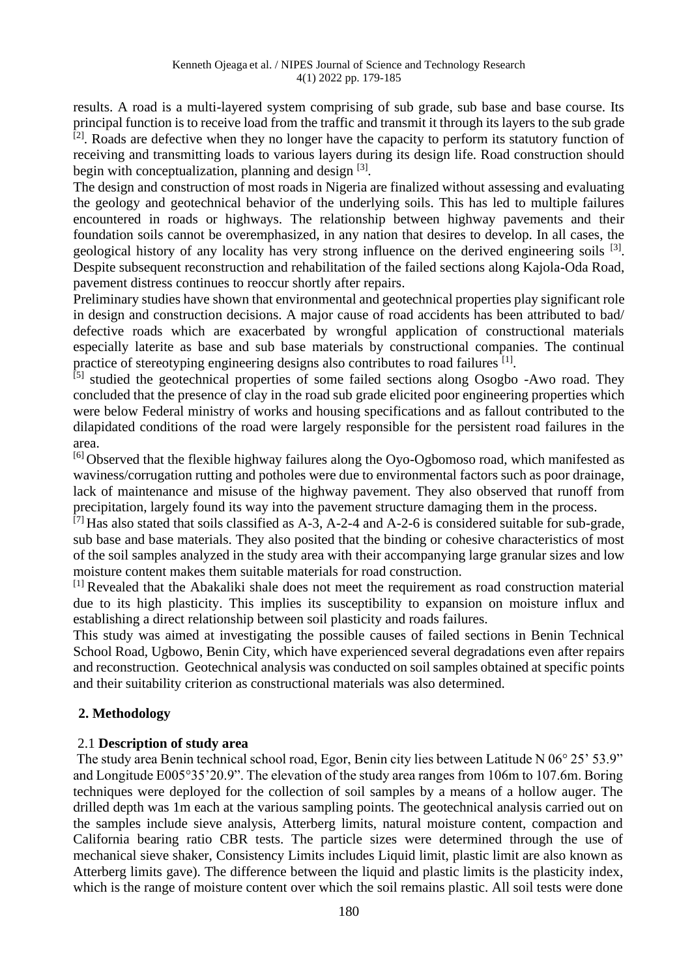results. A road is a multi-layered system comprising of sub grade, sub base and base course. Its principal function is to receive load from the traffic and transmit it through its layers to the sub grade  $[2]$ . Roads are defective when they no longer have the capacity to perform its statutory function of receiving and transmitting loads to various layers during its design life. Road construction should begin with conceptualization, planning and design [3].

The design and construction of most roads in Nigeria are finalized without assessing and evaluating the geology and geotechnical behavior of the underlying soils. This has led to multiple failures encountered in roads or highways. The relationship between highway pavements and their foundation soils cannot be overemphasized, in any nation that desires to develop. In all cases, the geological history of any locality has very strong influence on the derived engineering soils <sup>[3]</sup>. Despite subsequent reconstruction and rehabilitation of the failed sections along Kajola-Oda Road, pavement distress continues to reoccur shortly after repairs.

Preliminary studies have shown that environmental and geotechnical properties play significant role in design and construction decisions. A major cause of road accidents has been attributed to bad/ defective roads which are exacerbated by wrongful application of constructional materials especially laterite as base and sub base materials by constructional companies. The continual practice of stereotyping engineering designs also contributes to road failures [1].

 $^{[5]}$  studied the geotechnical properties of some failed sections along Osogbo -Awo road. They concluded that the presence of clay in the road sub grade elicited poor engineering properties which were below Federal ministry of works and housing specifications and as fallout contributed to the dilapidated conditions of the road were largely responsible for the persistent road failures in the area.

<sup>[6]</sup> Observed that the flexible highway failures along the Oyo-Ogbomoso road, which manifested as waviness/corrugation rutting and potholes were due to environmental factors such as poor drainage, lack of maintenance and misuse of the highway pavement. They also observed that runoff from precipitation, largely found its way into the pavement structure damaging them in the process.

 $^{[7]}$  Has also stated that soils classified as A-3, A-2-4 and A-2-6 is considered suitable for sub-grade, sub base and base materials. They also posited that the binding or cohesive characteristics of most of the soil samples analyzed in the study area with their accompanying large granular sizes and low moisture content makes them suitable materials for road construction.

[1] Revealed that the Abakaliki shale does not meet the requirement as road construction material due to its high plasticity. This implies its susceptibility to expansion on moisture influx and establishing a direct relationship between soil plasticity and roads failures.

This study was aimed at investigating the possible causes of failed sections in Benin Technical School Road, Ugbowo, Benin City, which have experienced several degradations even after repairs and reconstruction. Geotechnical analysis was conducted on soil samples obtained at specific points and their suitability criterion as constructional materials was also determined.

## **2. Methodology**

## 2.1 **Description of study area**

The study area Benin technical school road, Egor, Benin city lies between Latitude N 06° 25' 53.9" and Longitude E005°35'20.9". The elevation of the study area ranges from 106m to 107.6m. Boring techniques were deployed for the collection of soil samples by a means of a hollow auger. The drilled depth was 1m each at the various sampling points. The geotechnical analysis carried out on the samples include sieve analysis, Atterberg limits, natural moisture content, compaction and California bearing ratio CBR tests. The particle sizes were determined through the use of mechanical sieve shaker, Consistency Limits includes Liquid limit, plastic limit are also known as Atterberg limits gave). The difference between the liquid and plastic limits is the plasticity index, which is the range of moisture content over which the soil remains plastic. All soil tests were done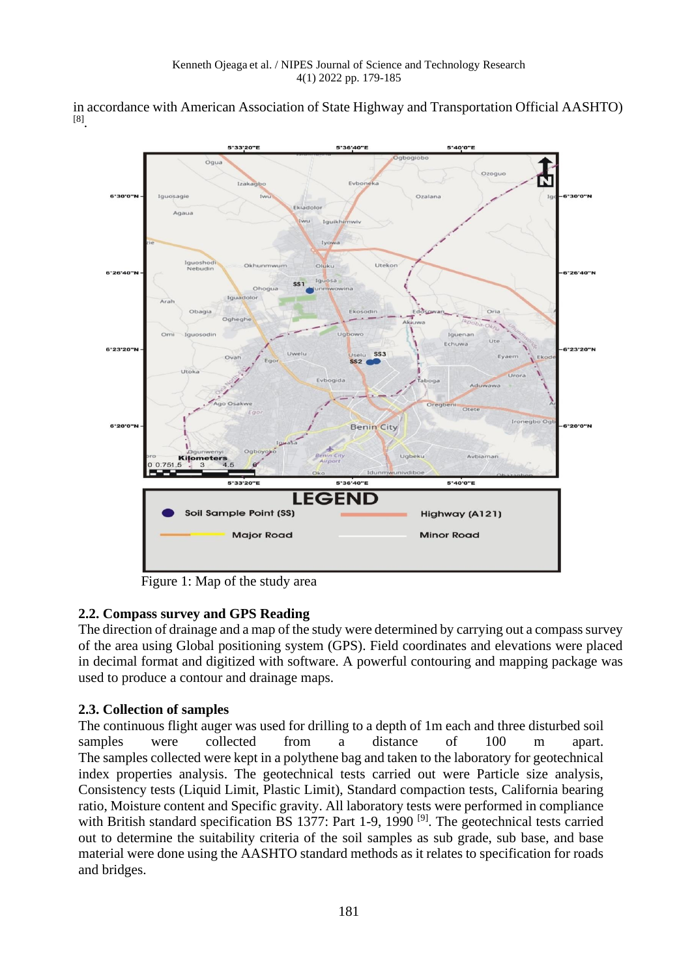in accordance with American Association of State Highway and Transportation Official AASHTO) [8] .



Figure 1: Map of the study area

# **2.2. Compass survey and GPS Reading**

The direction of drainage and a map of the study were determined by carrying out a compass survey of the area using Global positioning system (GPS). Field coordinates and elevations were placed in decimal format and digitized with software. A powerful contouring and mapping package was used to produce a contour and drainage maps.

# **2.3. Collection of samples**

The continuous flight auger was used for drilling to a depth of 1m each and three disturbed soil samples were collected from a distance of 100 m apart. The samples collected were kept in a polythene bag and taken to the laboratory for geotechnical index properties analysis. The geotechnical tests carried out were Particle size analysis, Consistency tests (Liquid Limit, Plastic Limit), Standard compaction tests, California bearing ratio, Moisture content and Specific gravity. All laboratory tests were performed in compliance with British standard specification BS 1377: Part 1-9, 1990<sup>[9]</sup>. The geotechnical tests carried out to determine the suitability criteria of the soil samples as sub grade, sub base, and base material were done using the AASHTO standard methods as it relates to specification for roads and bridges.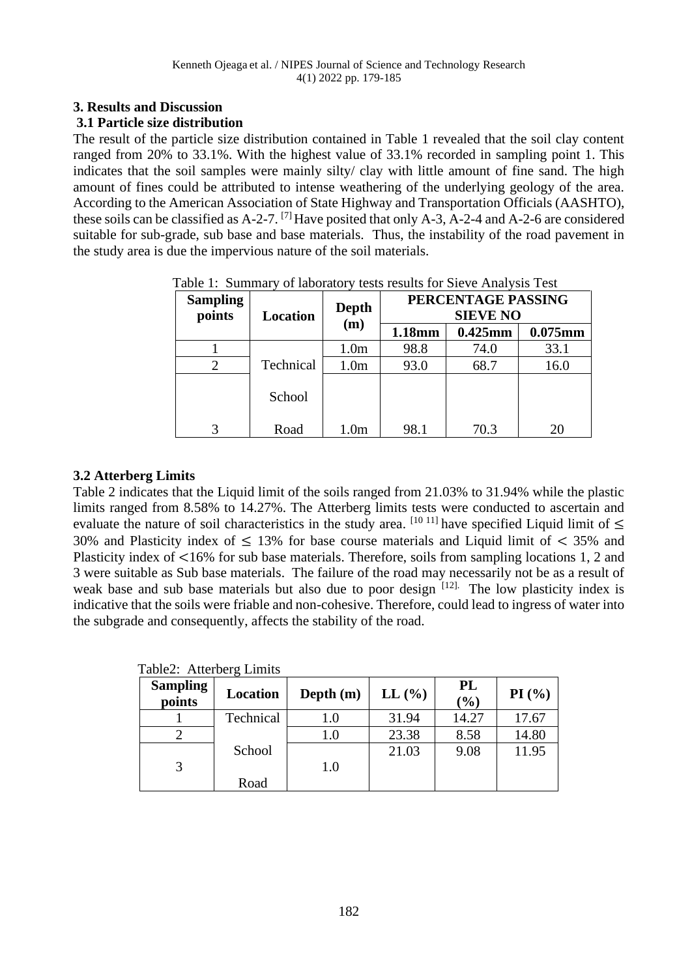## **3. Results and Discussion**

#### **3.1 Particle size distribution**

The result of the particle size distribution contained in Table 1 revealed that the soil clay content ranged from 20% to 33.1%. With the highest value of 33.1% recorded in sampling point 1. This indicates that the soil samples were mainly silty/ clay with little amount of fine sand. The high amount of fines could be attributed to intense weathering of the underlying geology of the area. According to the American Association of State Highway and Transportation Officials (AASHTO), these soils can be classified as  $A-2-7$ . <sup>[7]</sup> Have posited that only  $A-3$ ,  $A-2-4$  and  $A-2-6$  are considered suitable for sub-grade, sub base and base materials. Thus, the instability of the road pavement in the study area is due the impervious nature of the soil materials.

| <b>Sampling</b><br>points | <b>Location</b> | <b>Depth</b><br>(m) | PERCENTAGE PASSING<br><b>SIEVE NO</b> |            |            |
|---------------------------|-----------------|---------------------|---------------------------------------|------------|------------|
|                           |                 |                     | 1.18mm                                | $0.425$ mm | $0.075$ mm |
|                           |                 | 1.0 <sub>m</sub>    | 98.8                                  | 74.0       | 33.1       |
|                           | Technical       | 1.0 <sub>m</sub>    | 93.0                                  | 68.7       | 16.0       |
|                           | School          |                     |                                       |            |            |
|                           | Road            | 1.0 <sub>m</sub>    | 98.1                                  | 70.3       | 20         |

Table 1: Summary of laboratory tests results for Sieve Analysis Test

#### **3.2 Atterberg Limits**

Table 2 indicates that the Liquid limit of the soils ranged from 21.03% to 31.94% while the plastic limits ranged from 8.58% to 14.27%. The Atterberg limits tests were conducted to ascertain and evaluate the nature of soil characteristics in the study area.  $[10 11]$  have specified Liquid limit of  $\leq$ 30% and Plasticity index of  $\leq$  13% for base course materials and Liquid limit of  $\lt$  35% and Plasticity index of <16% for sub base materials. Therefore, soils from sampling locations 1, 2 and 3 were suitable as Sub base materials. The failure of the road may necessarily not be as a result of weak base and sub base materials but also due to poor design  $[12]$ . The low plasticity index is indicative that the soils were friable and non-cohesive. Therefore, could lead to ingress of water into the subgrade and consequently, affects the stability of the road.

| <b>Sampling</b><br>points | Location  | Depth $(m)$ | $LL$ $\left(\frac{0}{0}\right)$ | PL<br>(%) | PI(%) |
|---------------------------|-----------|-------------|---------------------------------|-----------|-------|
|                           | Technical | 1.0         | 31.94                           | 14.27     | 17.67 |
|                           |           | 1.0         | 23.38                           | 8.58      | 14.80 |
|                           | School    | 1.0         | 21.03                           | 9.08      | 11.95 |
|                           | Road      |             |                                 |           |       |

Table? Atterberg Limits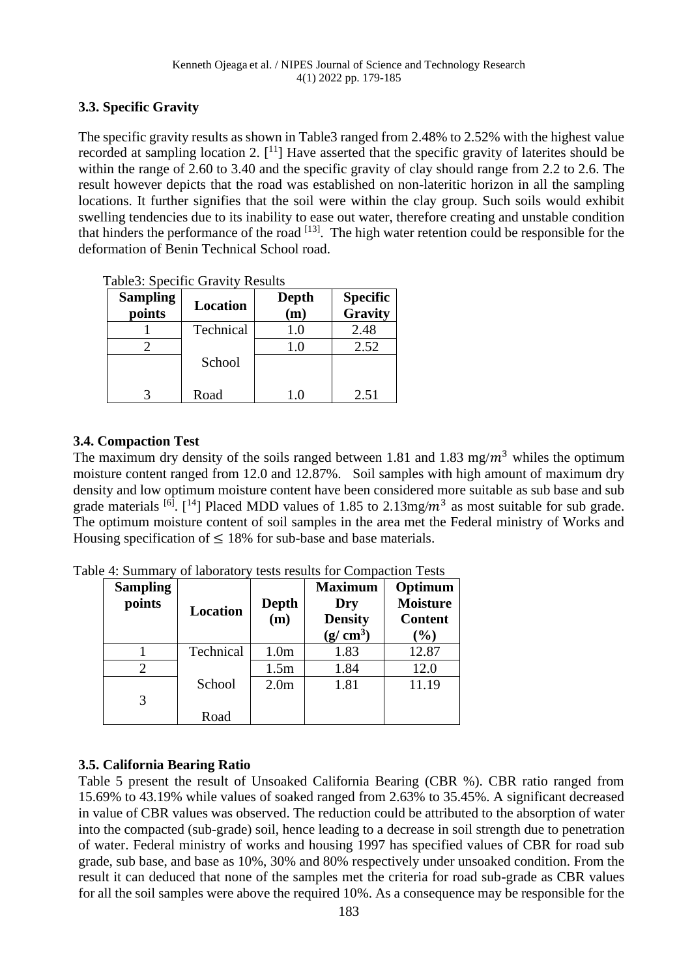## **3.3. Specific Gravity**

The specific gravity results as shown in Table3 ranged from 2.48% to 2.52% with the highest value recorded at sampling location 2.  $[1]$  Have asserted that the specific gravity of laterites should be within the range of 2.60 to 3.40 and the specific gravity of clay should range from 2.2 to 2.6. The result however depicts that the road was established on non-lateritic horizon in all the sampling locations. It further signifies that the soil were within the clay group. Such soils would exhibit swelling tendencies due to its inability to ease out water, therefore creating and unstable condition that hinders the performance of the road  $[13]$ . The high water retention could be responsible for the deformation of Benin Technical School road.

| ables. Specific Clavity Results |                 |     |                            |  |  |  |
|---------------------------------|-----------------|-----|----------------------------|--|--|--|
| <b>Sampling</b><br>points       | <b>Location</b> |     | <b>Specific</b><br>Gravity |  |  |  |
|                                 | Technical       | 1.0 | 2.48                       |  |  |  |
|                                 |                 | 1.0 | 2.52                       |  |  |  |
|                                 | School          |     |                            |  |  |  |
|                                 | Road            | 1.0 | 2.51                       |  |  |  |

Table3: Specific Gravity Results

# **3.4. Compaction Test**

The maximum dry density of the soils ranged between 1.81 and 1.83 mg/ $m<sup>3</sup>$  whiles the optimum moisture content ranged from 12.0 and 12.87%. Soil samples with high amount of maximum dry density and low optimum moisture content have been considered more suitable as sub base and sub grade materials <sup>[6]</sup>. [<sup>14</sup>] Placed MDD values of 1.85 to 2.13mg/ $m<sup>3</sup>$  as most suitable for sub grade. The optimum moisture content of soil samples in the area met the Federal ministry of Works and Housing specification of  $\leq 18\%$  for sub-base and base materials.

Table 4: Summary of laboratory tests results for Compaction Tests

| <b>Sampling</b><br>points | <b>Location</b> | <b>Depth</b><br>(m) | <b>Maximum</b><br>Dry<br><b>Density</b><br>$(g/cm^3)$ | Optimum<br><b>Moisture</b><br><b>Content</b><br>(%) |
|---------------------------|-----------------|---------------------|-------------------------------------------------------|-----------------------------------------------------|
|                           | Technical       | 1.0 <sub>m</sub>    | 1.83                                                  | 12.87                                               |
| 2                         |                 | 1.5m                | 1.84                                                  | 12.0                                                |
| 3                         | School          | 2.0 <sub>m</sub>    | 1.81                                                  | 11.19                                               |
|                           | Road            |                     |                                                       |                                                     |

# **3.5. California Bearing Ratio**

Table 5 present the result of Unsoaked California Bearing (CBR %). CBR ratio ranged from 15.69% to 43.19% while values of soaked ranged from 2.63% to 35.45%. A significant decreased in value of CBR values was observed. The reduction could be attributed to the absorption of water into the compacted (sub-grade) soil, hence leading to a decrease in soil strength due to penetration of water. Federal ministry of works and housing 1997 has specified values of CBR for road sub grade, sub base, and base as 10%, 30% and 80% respectively under unsoaked condition. From the result it can deduced that none of the samples met the criteria for road sub-grade as CBR values for all the soil samples were above the required 10%. As a consequence may be responsible for the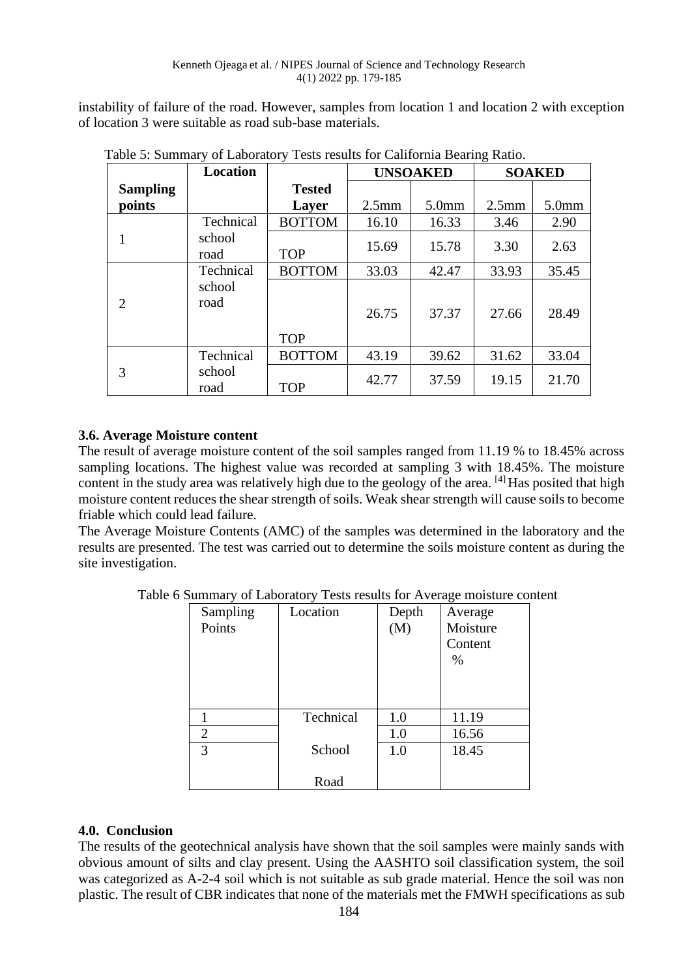instability of failure of the road. However, samples from location 1 and location 2 with exception of location 3 were suitable as road sub-base materials.

|                 | Location       |               | <b>UNSOAKED</b>   |                   | <b>SOAKED</b> |                   |
|-----------------|----------------|---------------|-------------------|-------------------|---------------|-------------------|
| <b>Sampling</b> |                | <b>Tested</b> |                   |                   |               |                   |
| points          |                | Layer         | 2.5 <sub>mm</sub> | 5.0 <sub>mm</sub> | $2.5$ mm      | 5.0 <sub>mm</sub> |
|                 | Technical      | <b>BOTTOM</b> | 16.10             | 16.33             | 3.46          | 2.90              |
|                 | school<br>road | <b>TOP</b>    | 15.69             | 15.78             | 3.30          | 2.63              |
|                 | Technical      | <b>BOTTOM</b> | 33.03             | 42.47             | 33.93         | 35.45             |
| 2               | school<br>road | <b>TOP</b>    | 26.75             | 37.37             | 27.66         | 28.49             |
|                 | Technical      | <b>BOTTOM</b> | 43.19             | 39.62             | 31.62         | 33.04             |
| 3               | school<br>road | <b>TOP</b>    | 42.77             | 37.59             | 19.15         | 21.70             |

Table 5: Summary of Laboratory Tests results for California Bearing Ratio.

## **3.6. Average Moisture content**

The result of average moisture content of the soil samples ranged from 11.19 % to 18.45% across sampling locations. The highest value was recorded at sampling 3 with 18.45%. The moisture content in the study area was relatively high due to the geology of the area. [4] Has posited that high moisture content reduces the shear strength of soils. Weak shear strength will cause soils to become friable which could lead failure.

The Average Moisture Contents (AMC) of the samples was determined in the laboratory and the results are presented. The test was carried out to determine the soils moisture content as during the site investigation.

Table 6 Summary of Laboratory Tests results for Average moisture content

| Sampling<br>Points | Location  | Depth<br>(M) | Average<br>Moisture<br>Content<br>$\%$ |
|--------------------|-----------|--------------|----------------------------------------|
|                    | Technical | 1.0          | 11.19                                  |
| $\overline{2}$     |           | 1.0          | 16.56                                  |
| 3                  | School    | 1.0          | 18.45                                  |
|                    | Road      |              |                                        |

## **4.0. Conclusion**

The results of the geotechnical analysis have shown that the soil samples were mainly sands with obvious amount of silts and clay present. Using the AASHTO soil classification system, the soil was categorized as A-2-4 soil which is not suitable as sub grade material. Hence the soil was non plastic. The result of CBR indicates that none of the materials met the FMWH specifications as sub